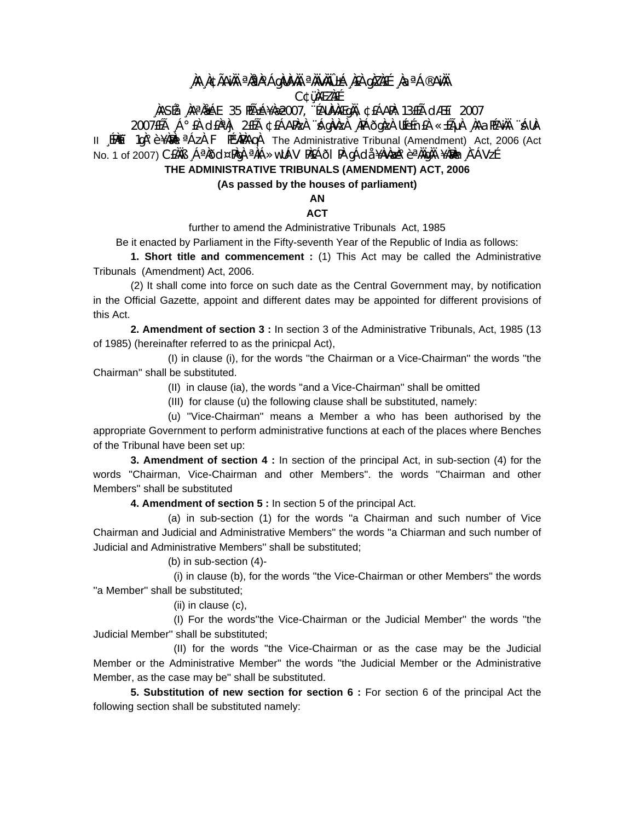## **¸ÀA¸À¢ÃAiÀÄ ªÀåªÀºÁgÀUÀ¼ÀÄ ªÀÄvÀÄÛ ±Á¸À£À gÀZÀ£É ¸ÀaªÁ®AiÀÄ C¢ü¸ÀÆZÀ£É**

### **¸ÀASÉå: ¸ÀAªÀå±ÁE 35 PÉñÁ¥Àæ 2007, ¨ÉAUÀ¼ÀÆgÀÄ, ¢£ÁAPÀ: 13£Éà dÆ£ï 2007**

2007£Éà ¸Á°£À d£ÀªÀj 2£Éà ¢£ÁAPÀzÀ ¨sÁgÀvÀzÀ ¸ÀPÁðgÀzÀ UÉeÉn£À «±ÉõÀ ¸ÀAaPÉAiÀÄ ¨sÁUÀ-II 〔EMĚǐ 1gÀ°è ¥ÀMÀL ªÁZÀ F PɼAPÀAqÀ The Administrative Tribunal (Amendment) Act, 2006 (Act No. 1 of 2007) C£ÀÄB ¸ÁªÀðd¤PÀgÀ ªÀiÁ»wUÁV PÀ£ÁðI PÀ gÁdå ¥ÀvÀæÀ°èªÀÄgÀÄ ¥À۩h¬À¯ÁVzÉ

# **THE ADMINISTRATIVE TRIBUNALS (AMENDMENT) ACT, 2006**

#### **(As passed by the houses of parliament)**

**AN** 

### **ACT**

further to amend the Administrative Tribunals Act, 1985

Be it enacted by Parliament in the Fifty-seventh Year of the Republic of India as follows:

**1. Short title and commencement :** (1) This Act may be called the Administrative Tribunals (Amendment) Act, 2006.

 (2) It shall come into force on such date as the Central Government may, by notification in the Official Gazette, appoint and different dates may be appointed for different provisions of this Act.

**2. Amendment of section 3 :** In section 3 of the Administrative Tribunals, Act, 1985 (13 of 1985) (hereinafter referred to as the prinicpal Act),

 (I) in clause (i), for the words ''the Chairman or a Vice-Chairman'' the words ''the Chairman'' shall be substituted.

(II) in clause (ia), the words ''and a Vice-Chairman'' shall be omitted

(III) for clause (u) the following clause shall be substituted, namely:

 (u) ''Vice-Chairman'' means a Member a who has been authorised by the appropriate Government to perform administrative functions at each of the places where Benches of the Tribunal have been set up:

**3. Amendment of section 4 :** In section of the principal Act, in sub-section (4) for the words ''Chairman, Vice-Chairman and other Members''. the words ''Chairman and other Members'' shall be substituted

**4. Amendment of section 5 :** In section 5 of the principal Act.

 (a) in sub-section (1) for the words ''a Chairman and such number of Vice Chairman and Judicial and Administrative Members'' the words ''a Chiarman and such number of Judicial and Administrative Members'' shall be substituted;

(b) in sub-section (4)-

 (i) in clause (b), for the words ''the Vice-Chairman or other Members'' the words ''a Member'' shall be substituted;

(ii) in clause (c),

 (I) For the words''the Vice-Chairman or the Judicial Member'' the words ''the Judicial Member'' shall be substituted;

 (II) for the words ''the Vice-Chairman or as the case may be the Judicial Member or the Administrative Member'' the words ''the Judicial Member or the Administrative Member, as the case may be'' shall be substituted.

**5. Substitution of new section for section 6 :** For section 6 of the principal Act the following section shall be substituted namely: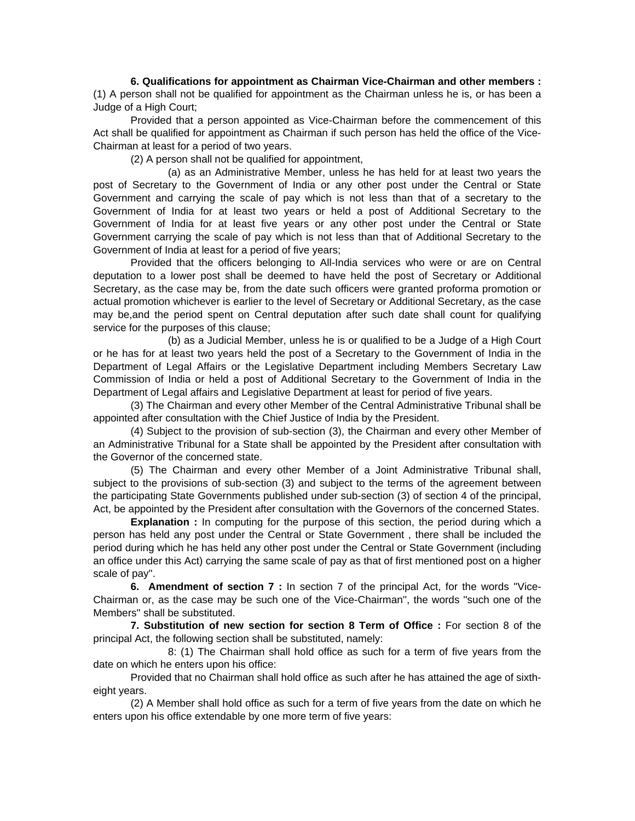**6. Qualifications for appointment as Chairman Vice-Chairman and other members :** (1) A person shall not be qualified for appointment as the Chairman unless he is, or has been a Judge of a High Court;

 Provided that a person appointed as Vice-Chairman before the commencement of this Act shall be qualified for appointment as Chairman if such person has held the office of the Vice-Chairman at least for a period of two years.

(2) A person shall not be qualified for appointment,

 (a) as an Administrative Member, unless he has held for at least two years the post of Secretary to the Government of India or any other post under the Central or State Government and carrying the scale of pay which is not less than that of a secretary to the Government of India for at least two years or held a post of Additional Secretary to the Government of India for at least five years or any other post under the Central or State Government carrying the scale of pay which is not less than that of Additional Secretary to the Government of India at least for a period of five years;

 Provided that the officers belonging to All-India services who were or are on Central deputation to a lower post shall be deemed to have held the post of Secretary or Additional Secretary, as the case may be, from the date such officers were granted proforma promotion or actual promotion whichever is earlier to the level of Secretary or Additional Secretary, as the case may be,and the period spent on Central deputation after such date shall count for qualifying service for the purposes of this clause;

 (b) as a Judicial Member, unless he is or qualified to be a Judge of a High Court or he has for at least two years held the post of a Secretary to the Government of India in the Department of Legal Affairs or the Legislative Department including Members Secretary Law Commission of India or held a post of Additional Secretary to the Government of India in the Department of Legal affairs and Legislative Department at least for period of five years.

 (3) The Chairman and every other Member of the Central Administrative Tribunal shall be appointed after consultation with the Chief Justice of India by the President.

 (4) Subject to the provision of sub-section (3), the Chairman and every other Member of an Administrative Tribunal for a State shall be appointed by the President after consultation with the Governor of the concerned state.

 (5) The Chairman and every other Member of a Joint Administrative Tribunal shall, subject to the provisions of sub-section (3) and subject to the terms of the agreement between the participating State Governments published under sub-section (3) of section 4 of the principal, Act, be appointed by the President after consultation with the Governors of the concerned States.

**Explanation :** In computing for the purpose of this section, the period during which a person has held any post under the Central or State Government , there shall be included the period during which he has held any other post under the Central or State Government (including an office under this Act) carrying the same scale of pay as that of first mentioned post on a higher scale of pay''.

**6. Amendment of section 7 :** In section 7 of the principal Act, for the words ''Vice-Chairman or, as the case may be such one of the Vice-Chairman'', the words ''such one of the Members'' shall be substituted.

**7. Substitution of new section for section 8 Term of Office :** For section 8 of the principal Act, the following section shall be substituted, namely:

 8: (1) The Chairman shall hold office as such for a term of five years from the date on which he enters upon his office:

 Provided that no Chairman shall hold office as such after he has attained the age of sixtheight years.

 (2) A Member shall hold office as such for a term of five years from the date on which he enters upon his office extendable by one more term of five years: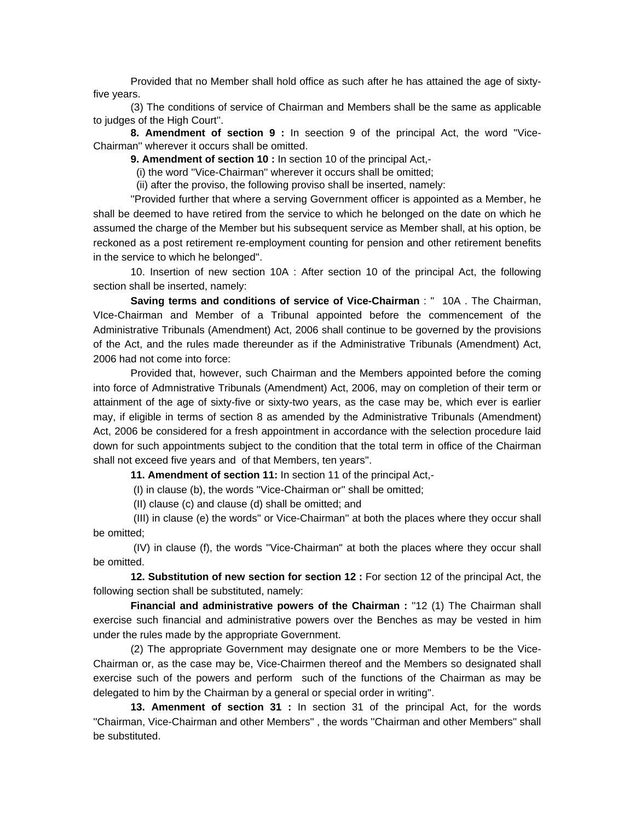Provided that no Member shall hold office as such after he has attained the age of sixtyfive years.

 (3) The conditions of service of Chairman and Members shall be the same as applicable to judges of the High Court''.

**8. Amendment of section 9 :** In seection 9 of the principal Act, the word ''Vice-Chairman'' wherever it occurs shall be omitted.

**9. Amendment of section 10 :** In section 10 of the principal Act,-

(i) the word ''Vice-Chairman'' wherever it occurs shall be omitted;

(ii) after the proviso, the following proviso shall be inserted, namely:

 ''Provided further that where a serving Government officer is appointed as a Member, he shall be deemed to have retired from the service to which he belonged on the date on which he assumed the charge of the Member but his subsequent service as Member shall, at his option, be reckoned as a post retirement re-employment counting for pension and other retirement benefits in the service to which he belonged''.

 10. Insertion of new section 10A : After section 10 of the principal Act, the following section shall be inserted, namely:

**Saving terms and conditions of service of Vice-Chairman** : '' 10A . The Chairman, VIce-Chairman and Member of a Tribunal appointed before the commencement of the Administrative Tribunals (Amendment) Act, 2006 shall continue to be governed by the provisions of the Act, and the rules made thereunder as if the Administrative Tribunals (Amendment) Act, 2006 had not come into force:

 Provided that, however, such Chairman and the Members appointed before the coming into force of Admnistrative Tribunals (Amendment) Act, 2006, may on completion of their term or attainment of the age of sixty-five or sixty-two years, as the case may be, which ever is earlier may, if eligible in terms of section 8 as amended by the Administrative Tribunals (Amendment) Act, 2006 be considered for a fresh appointment in accordance with the selection procedure laid down for such appointments subject to the condition that the total term in office of the Chairman shall not exceed five years and of that Members, ten years''.

**11. Amendment of section 11:** In section 11 of the principal Act,-

(I) in clause (b), the words ''Vice-Chairman or'' shall be omitted;

(II) clause (c) and clause (d) shall be omitted; and

 (III) in clause (e) the words'' or Vice-Chairman'' at both the places where they occur shall be omitted;

 (IV) in clause (f), the words ''Vice-Chairman'' at both the places where they occur shall be omitted.

**12. Substitution of new section for section 12 :** For section 12 of the principal Act, the following section shall be substituted, namely:

**Financial and administrative powers of the Chairman :** ''12 (1) The Chairman shall exercise such financial and administrative powers over the Benches as may be vested in him under the rules made by the appropriate Government.

 (2) The appropriate Government may designate one or more Members to be the Vice-Chairman or, as the case may be, Vice-Chairmen thereof and the Members so designated shall exercise such of the powers and perform such of the functions of the Chairman as may be delegated to him by the Chairman by a general or special order in writing''.

**13. Amenment of section 31 :** In section 31 of the principal Act, for the words ''Chairman, Vice-Chairman and other Members'' , the words ''Chairman and other Members'' shall be substituted.